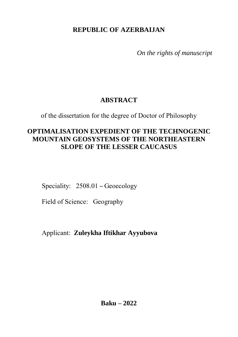**REPUBLIC OF AZERBAIJAN**

*On the rights of manuscript*

## **ABSTRACT**

of the dissertation for the degree of Doctor of Philosophy

## **OPTIMALISATION EXPEDIENT OF THE TECHNOGENIC MOUNTAIN GEOSYSTEMS OF THE NORTHEASTERN SLOPE OF THE LESSER CAUCASUS**

Speciality: 2508.01 – Geoecology

Field of Science: Geography

Applicant: **Zuleykha Iftikhar Ayyubova**

**Baku – 2022**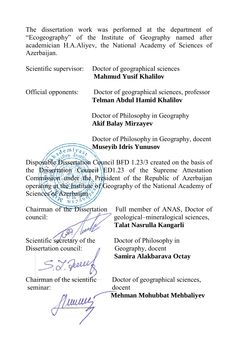The dissertation work was performed at the department of "Ecogeography" of the Institute of Geography named after academician H.A.Aliyev, the National Academy of Sciences of Azerbaijan.

Scientific supervisor: Doctor of geographical sciences **Mahmud Yusif Khalilov**

Official opponents: Doctor of geographical sciences, professor **Telman Abdul Hamid Khalilov**

> Doctor of Philosophy in Geography  **Akif Balay Mirzayev**

 Doctor of Philosophy in Geography, docent  **Museyib Idris Yunusov**

Disposable Dissertation Council BFD 1.23/3 created on the basis of the Dissertation Council ED1.23 of the Supreme Attestation Commission under the President of the Republic of Azerbaijan operating at the Institute of Geography of the National Academy of Sciences of Azerbaijan

Scientific secretary of the Doctor of Philosophy in<br>Dissertation council: Chapters are detected

S. J. Geele Samira Alakbarava Octay

seminar: docent

*Mehman Mohubbat Mehbaliyev* 

Chairman of the Dissertation Full member of ANAS, Doctor of council: geological–mineralogical sciences, **Talat Nasrulla Kangarli**

Geography, docent

Chairman of the scientific Doctor of geographical sciences,